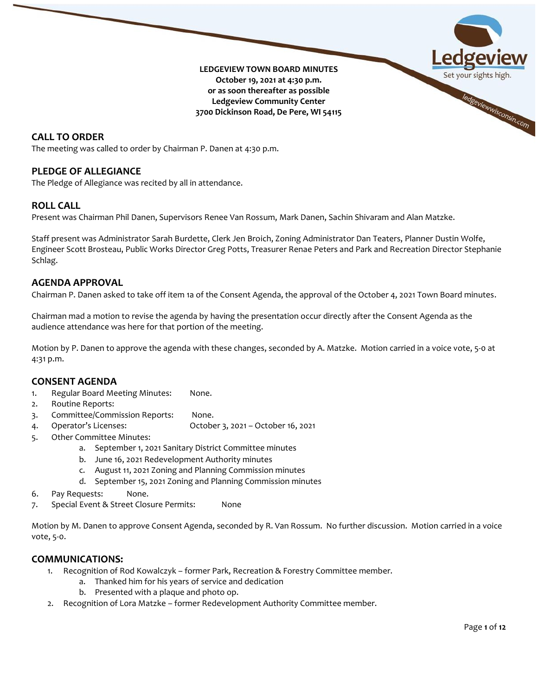

## **CALL TO ORDER**

The meeting was called to order by Chairman P. Danen at 4:30 p.m.

### **PLEDGE OF ALLEGIANCE**

The Pledge of Allegiance was recited by all in attendance.

### **ROLL CALL**

Present was Chairman Phil Danen, Supervisors Renee Van Rossum, Mark Danen, Sachin Shivaram and Alan Matzke.

Staff present was Administrator Sarah Burdette, Clerk Jen Broich, Zoning Administrator Dan Teaters, Planner Dustin Wolfe, Engineer Scott Brosteau, Public Works Director Greg Potts, Treasurer Renae Peters and Park and Recreation Director Stephanie Schlag.

### **AGENDA APPROVAL**

Chairman P. Danen asked to take off item 1a of the Consent Agenda, the approval of the October 4, 2021 Town Board minutes.

Chairman mad a motion to revise the agenda by having the presentation occur directly after the Consent Agenda as the audience attendance was here for that portion of the meeting.

Motion by P. Danen to approve the agenda with these changes, seconded by A. Matzke. Motion carried in a voice vote, 5-0 at 4:31 p.m.

### **CONSENT AGENDA**

- 1. Regular Board Meeting Minutes: None.
- 2. Routine Reports:
- 3. Committee/Commission Reports: None.
- 4. Operator's Licenses: October 3, 2021 October 16, 2021
- 5. Other Committee Minutes:
	- a. September 1, 2021 Sanitary District Committee minutes
	- b. June 16, 2021 Redevelopment Authority minutes
	- c. August 11, 2021 Zoning and Planning Commission minutes
	- d. September 15, 2021 Zoning and Planning Commission minutes
- 6. Pay Requests: None.
- 7. Special Event & Street Closure Permits: None

Motion by M. Danen to approve Consent Agenda, seconded by R. Van Rossum. No further discussion. Motion carried in a voice vote, 5-0.

### **COMMUNICATIONS:**

- 1. Recognition of Rod Kowalczyk former Park, Recreation & Forestry Committee member.
	- a. Thanked him for his years of service and dedication
	- b. Presented with a plaque and photo op.
- 2. Recognition of Lora Matzke former Redevelopment Authority Committee member.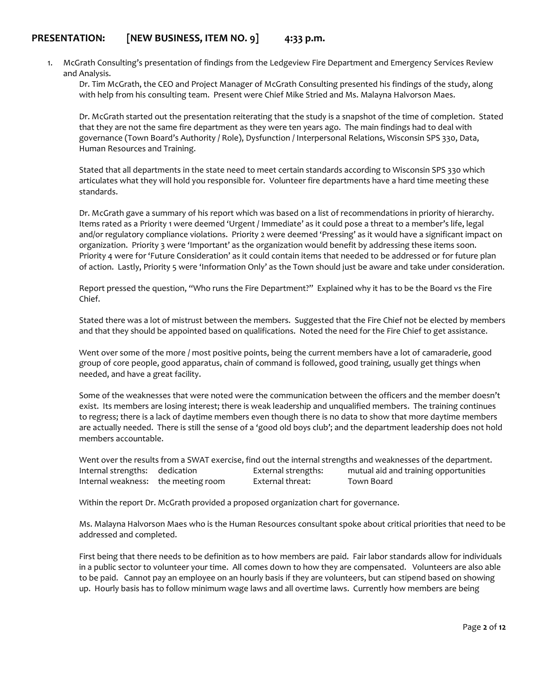# **PRESENTATION: [NEW BUSINESS, ITEM NO. 9] 4:33 p.m.**

1. McGrath Consulting's presentation of findings from the Ledgeview Fire Department and Emergency Services Review and Analysis.

Dr. Tim McGrath, the CEO and Project Manager of McGrath Consulting presented his findings of the study, along with help from his consulting team. Present were Chief Mike Stried and Ms. Malayna Halvorson Maes.

Dr. McGrath started out the presentation reiterating that the study is a snapshot of the time of completion. Stated that they are not the same fire department as they were ten years ago. The main findings had to deal with governance (Town Board's Authority / Role), Dysfunction / Interpersonal Relations, Wisconsin SPS 330, Data, Human Resources and Training.

Stated that all departments in the state need to meet certain standards according to Wisconsin SPS 330 which articulates what they will hold you responsible for. Volunteer fire departments have a hard time meeting these standards.

Dr. McGrath gave a summary of his report which was based on a list of recommendations in priority of hierarchy. Items rated as a Priority 1 were deemed 'Urgent / Immediate' as it could pose a threat to a member's life, legal and/or regulatory compliance violations. Priority 2 were deemed 'Pressing' as it would have a significant impact on organization. Priority 3 were 'Important' as the organization would benefit by addressing these items soon. Priority 4 were for 'Future Consideration' as it could contain items that needed to be addressed or for future plan of action. Lastly, Priority 5 were 'Information Only' as the Town should just be aware and take under consideration.

Report pressed the question, "Who runs the Fire Department?" Explained why it has to be the Board vs the Fire Chief.

Stated there was a lot of mistrust between the members. Suggested that the Fire Chief not be elected by members and that they should be appointed based on qualifications. Noted the need for the Fire Chief to get assistance.

Went over some of the more / most positive points, being the current members have a lot of camaraderie, good group of core people, good apparatus, chain of command is followed, good training, usually get things when needed, and have a great facility.

Some of the weaknesses that were noted were the communication between the officers and the member doesn't exist. Its members are losing interest; there is weak leadership and unqualified members. The training continues to regress; there is a lack of daytime members even though there is no data to show that more daytime members are actually needed. There is still the sense of a 'good old boys club'; and the department leadership does not hold members accountable.

Went over the results from a SWAT exercise, find out the internal strengths and weaknesses of the department. Internal strengths: dedication External strengths: mutual aid and training opportunities Internal weakness: the meeting room External threat: Town Board

Within the report Dr. McGrath provided a proposed organization chart for governance.

Ms. Malayna Halvorson Maes who is the Human Resources consultant spoke about critical priorities that need to be addressed and completed.

First being that there needs to be definition as to how members are paid. Fair labor standards allow for individuals in a public sector to volunteer your time. All comes down to how they are compensated. Volunteers are also able to be paid. Cannot pay an employee on an hourly basis if they are volunteers, but can stipend based on showing up. Hourly basis has to follow minimum wage laws and all overtime laws. Currently how members are being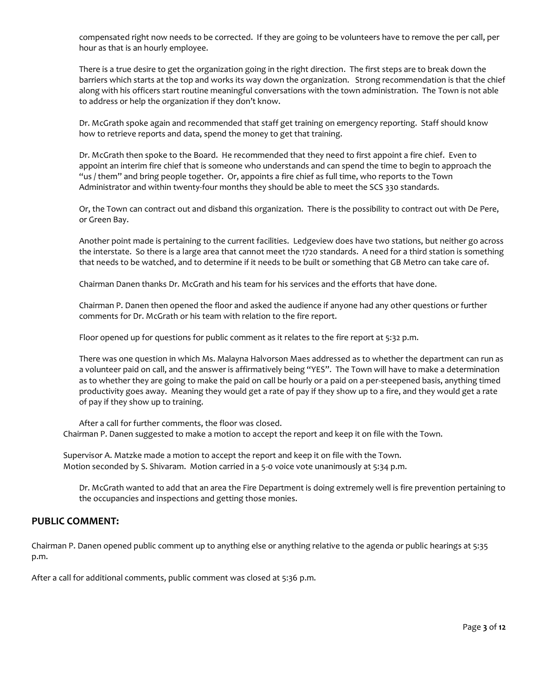compensated right now needs to be corrected. If they are going to be volunteers have to remove the per call, per hour as that is an hourly employee.

There is a true desire to get the organization going in the right direction. The first steps are to break down the barriers which starts at the top and works its way down the organization. Strong recommendation is that the chief along with his officers start routine meaningful conversations with the town administration. The Town is not able to address or help the organization if they don't know.

Dr. McGrath spoke again and recommended that staff get training on emergency reporting. Staff should know how to retrieve reports and data, spend the money to get that training.

Dr. McGrath then spoke to the Board. He recommended that they need to first appoint a fire chief. Even to appoint an interim fire chief that is someone who understands and can spend the time to begin to approach the "us / them" and bring people together. Or, appoints a fire chief as full time, who reports to the Town Administrator and within twenty-four months they should be able to meet the SCS 330 standards.

Or, the Town can contract out and disband this organization. There is the possibility to contract out with De Pere, or Green Bay.

Another point made is pertaining to the current facilities. Ledgeview does have two stations, but neither go across the interstate. So there is a large area that cannot meet the 1720 standards. A need for a third station is something that needs to be watched, and to determine if it needs to be built or something that GB Metro can take care of.

Chairman Danen thanks Dr. McGrath and his team for his services and the efforts that have done.

Chairman P. Danen then opened the floor and asked the audience if anyone had any other questions or further comments for Dr. McGrath or his team with relation to the fire report.

Floor opened up for questions for public comment as it relates to the fire report at 5:32 p.m.

There was one question in which Ms. Malayna Halvorson Maes addressed as to whether the department can run as a volunteer paid on call, and the answer is affirmatively being "YES". The Town will have to make a determination as to whether they are going to make the paid on call be hourly or a paid on a per-steepened basis, anything timed productivity goes away. Meaning they would get a rate of pay if they show up to a fire, and they would get a rate of pay if they show up to training.

After a call for further comments, the floor was closed. Chairman P. Danen suggested to make a motion to accept the report and keep it on file with the Town.

Supervisor A. Matzke made a motion to accept the report and keep it on file with the Town. Motion seconded by S. Shivaram. Motion carried in a 5-0 voice vote unanimously at 5:34 p.m.

Dr. McGrath wanted to add that an area the Fire Department is doing extremely well is fire prevention pertaining to the occupancies and inspections and getting those monies.

## **PUBLIC COMMENT:**

Chairman P. Danen opened public comment up to anything else or anything relative to the agenda or public hearings at 5:35 p.m.

After a call for additional comments, public comment was closed at 5:36 p.m.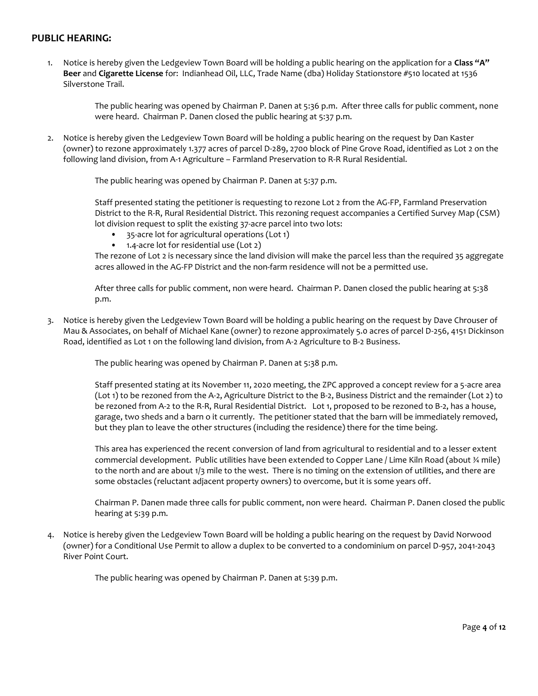# **PUBLIC HEARING:**

1. Notice is hereby given the Ledgeview Town Board will be holding a public hearing on the application for a **Class "A" Beer** and **Cigarette License** for: Indianhead Oil, LLC, Trade Name (dba) Holiday Stationstore #510 located at 1536 Silverstone Trail.

> The public hearing was opened by Chairman P. Danen at 5:36 p.m. After three calls for public comment, none were heard. Chairman P. Danen closed the public hearing at 5:37 p.m.

2. Notice is hereby given the Ledgeview Town Board will be holding a public hearing on the request by Dan Kaster (owner) to rezone approximately 1.377 acres of parcel D-289, 2700 block of Pine Grove Road, identified as Lot 2 on the following land division, from A-1 Agriculture – Farmland Preservation to R-R Rural Residential.

The public hearing was opened by Chairman P. Danen at 5:37 p.m.

Staff presented stating the petitioner is requesting to rezone Lot 2 from the AG-FP, Farmland Preservation District to the R-R, Rural Residential District. This rezoning request accompanies a Certified Survey Map (CSM) lot division request to split the existing 37-acre parcel into two lots:

- 35-acre lot for agricultural operations (Lot 1)
- 1.4-acre lot for residential use (Lot 2)

The rezone of Lot 2 is necessary since the land division will make the parcel less than the required 35 aggregate acres allowed in the AG-FP District and the non-farm residence will not be a permitted use.

After three calls for public comment, non were heard. Chairman P. Danen closed the public hearing at 5:38 p.m.

3. Notice is hereby given the Ledgeview Town Board will be holding a public hearing on the request by Dave Chrouser of Mau & Associates, on behalf of Michael Kane (owner) to rezone approximately 5.0 acres of parcel D-256, 4151 Dickinson Road, identified as Lot 1 on the following land division, from A-2 Agriculture to B-2 Business.

The public hearing was opened by Chairman P. Danen at 5:38 p.m.

Staff presented stating at its November 11, 2020 meeting, the ZPC approved a concept review for a 5-acre area (Lot 1) to be rezoned from the A-2, Agriculture District to the B-2, Business District and the remainder (Lot 2) to be rezoned from A-2 to the R-R, Rural Residential District. Lot 1, proposed to be rezoned to B-2, has a house, garage, two sheds and a barn o it currently. The petitioner stated that the barn will be immediately removed, but they plan to leave the other structures (including the residence) there for the time being.

This area has experienced the recent conversion of land from agricultural to residential and to a lesser extent commercial development. Public utilities have been extended to Copper Lane / Lime Kiln Road (about ¾ mile) to the north and are about 1/3 mile to the west. There is no timing on the extension of utilities, and there are some obstacles (reluctant adjacent property owners) to overcome, but it is some years off.

Chairman P. Danen made three calls for public comment, non were heard. Chairman P. Danen closed the public hearing at 5:39 p.m.

4. Notice is hereby given the Ledgeview Town Board will be holding a public hearing on the request by David Norwood (owner) for a Conditional Use Permit to allow a duplex to be converted to a condominium on parcel D-957, 2041-2043 River Point Court.

The public hearing was opened by Chairman P. Danen at 5:39 p.m.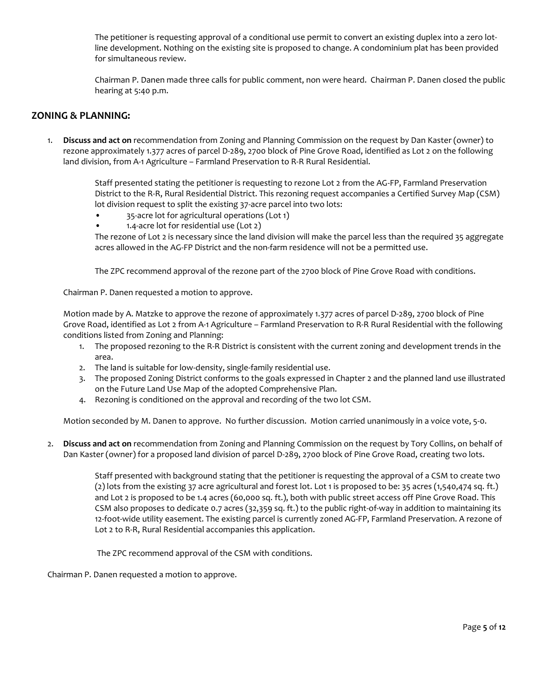The petitioner is requesting approval of a conditional use permit to convert an existing duplex into a zero lotline development. Nothing on the existing site is proposed to change. A condominium plat has been provided for simultaneous review.

Chairman P. Danen made three calls for public comment, non were heard. Chairman P. Danen closed the public hearing at 5:40 p.m.

# **ZONING & PLANNING:**

1. **Discuss and act on** recommendation from Zoning and Planning Commission on the request by Dan Kaster (owner) to rezone approximately 1.377 acres of parcel D-289, 2700 block of Pine Grove Road, identified as Lot 2 on the following land division, from A-1 Agriculture – Farmland Preservation to R-R Rural Residential.

> Staff presented stating the petitioner is requesting to rezone Lot 2 from the AG-FP, Farmland Preservation District to the R-R, Rural Residential District. This rezoning request accompanies a Certified Survey Map (CSM) lot division request to split the existing 37-acre parcel into two lots:

- 35-acre lot for agricultural operations (Lot 1)
- 1.4-acre lot for residential use (Lot 2)

The rezone of Lot 2 is necessary since the land division will make the parcel less than the required 35 aggregate acres allowed in the AG-FP District and the non-farm residence will not be a permitted use.

The ZPC recommend approval of the rezone part of the 2700 block of Pine Grove Road with conditions.

Chairman P. Danen requested a motion to approve.

Motion made by A. Matzke to approve the rezone of approximately 1.377 acres of parcel D-289, 2700 block of Pine Grove Road, identified as Lot 2 from A-1 Agriculture – Farmland Preservation to R-R Rural Residential with the following conditions listed from Zoning and Planning:

- 1. The proposed rezoning to the R-R District is consistent with the current zoning and development trends in the area.
- 2. The land is suitable for low-density, single-family residential use.
- 3. The proposed Zoning District conforms to the goals expressed in Chapter 2 and the planned land use illustrated on the Future Land Use Map of the adopted Comprehensive Plan.
- 4. Rezoning is conditioned on the approval and recording of the two lot CSM.

Motion seconded by M. Danen to approve. No further discussion. Motion carried unanimously in a voice vote, 5-0.

2. **Discuss and act on** recommendation from Zoning and Planning Commission on the request by Tory Collins, on behalf of Dan Kaster (owner) for a proposed land division of parcel D-289, 2700 block of Pine Grove Road, creating two lots.

> Staff presented with background stating that the petitioner is requesting the approval of a CSM to create two (2) lots from the existing 37 acre agricultural and forest lot. Lot 1 is proposed to be: 35 acres (1,540,474 sq. ft.) and Lot 2 is proposed to be 1.4 acres (60,000 sq. ft.), both with public street access off Pine Grove Road. This CSM also proposes to dedicate 0.7 acres (32,359 sq. ft.) to the public right-of-way in addition to maintaining its 12-foot-wide utility easement. The existing parcel is currently zoned AG-FP, Farmland Preservation. A rezone of Lot 2 to R-R, Rural Residential accompanies this application.

The ZPC recommend approval of the CSM with conditions.

Chairman P. Danen requested a motion to approve.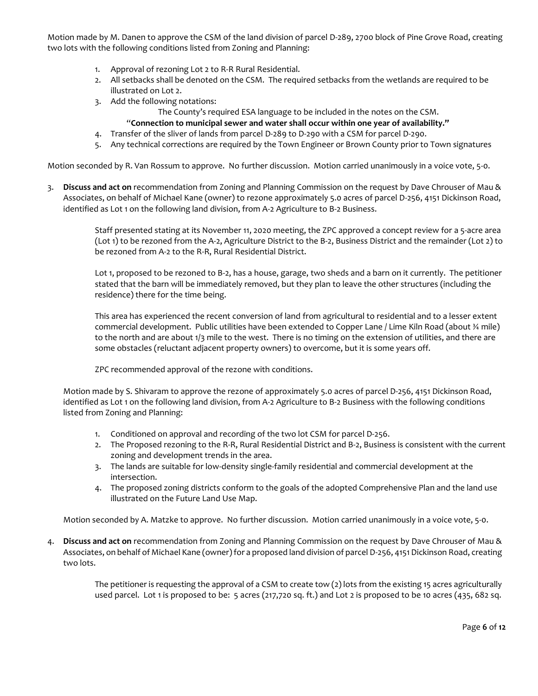Motion made by M. Danen to approve the CSM of the land division of parcel D-289, 2700 block of Pine Grove Road, creating two lots with the following conditions listed from Zoning and Planning:

- 1. Approval of rezoning Lot 2 to R-R Rural Residential.
- 2. All setbacks shall be denoted on the CSM. The required setbacks from the wetlands are required to be illustrated on Lot 2.
- 3. Add the following notations:
	- The County's required ESA language to be included in the notes on the CSM. "**Connection to municipal sewer and water shall occur within one year of availability."**
- 4. Transfer of the sliver of lands from parcel D-289 to D-290 with a CSM for parcel D-290.
- 5. Any technical corrections are required by the Town Engineer or Brown County prior to Town signatures

Motion seconded by R. Van Rossum to approve. No further discussion. Motion carried unanimously in a voice vote, 5-0.

3. **Discuss and act on** recommendation from Zoning and Planning Commission on the request by Dave Chrouser of Mau & Associates, on behalf of Michael Kane (owner) to rezone approximately 5.0 acres of parcel D-256, 4151 Dickinson Road, identified as Lot 1 on the following land division, from A-2 Agriculture to B-2 Business.

> Staff presented stating at its November 11, 2020 meeting, the ZPC approved a concept review for a 5-acre area (Lot 1) to be rezoned from the A-2, Agriculture District to the B-2, Business District and the remainder (Lot 2) to be rezoned from A-2 to the R-R, Rural Residential District.

> Lot 1, proposed to be rezoned to B-2, has a house, garage, two sheds and a barn on it currently. The petitioner stated that the barn will be immediately removed, but they plan to leave the other structures (including the residence) there for the time being.

> This area has experienced the recent conversion of land from agricultural to residential and to a lesser extent commercial development. Public utilities have been extended to Copper Lane / Lime Kiln Road (about ¾ mile) to the north and are about 1/3 mile to the west. There is no timing on the extension of utilities, and there are some obstacles (reluctant adjacent property owners) to overcome, but it is some years off.

ZPC recommended approval of the rezone with conditions.

Motion made by S. Shivaram to approve the rezone of approximately 5.0 acres of parcel D-256, 4151 Dickinson Road, identified as Lot 1 on the following land division, from A-2 Agriculture to B-2 Business with the following conditions listed from Zoning and Planning:

- 1. Conditioned on approval and recording of the two lot CSM for parcel D-256.
- 2. The Proposed rezoning to the R-R, Rural Residential District and B-2, Business is consistent with the current zoning and development trends in the area.
- 3. The lands are suitable for low-density single-family residential and commercial development at the intersection.
- 4. The proposed zoning districts conform to the goals of the adopted Comprehensive Plan and the land use illustrated on the Future Land Use Map.

Motion seconded by A. Matzke to approve. No further discussion. Motion carried unanimously in a voice vote, 5-0.

4. **Discuss and act on** recommendation from Zoning and Planning Commission on the request by Dave Chrouser of Mau & Associates, on behalf of Michael Kane (owner) for a proposed land division of parcel D-256, 4151 Dickinson Road, creating two lots.

> The petitioner is requesting the approval of a CSM to create tow (2) lots from the existing 15 acres agriculturally used parcel. Lot 1 is proposed to be: 5 acres (217,720 sq. ft.) and Lot 2 is proposed to be 10 acres (435, 682 sq.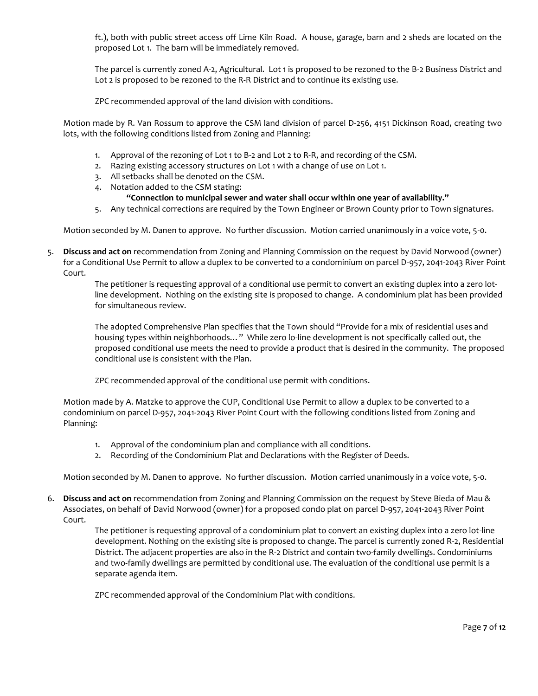ft.), both with public street access off Lime Kiln Road. A house, garage, barn and 2 sheds are located on the proposed Lot 1. The barn will be immediately removed.

The parcel is currently zoned A-2, Agricultural. Lot 1 is proposed to be rezoned to the B-2 Business District and Lot 2 is proposed to be rezoned to the R-R District and to continue its existing use.

ZPC recommended approval of the land division with conditions.

Motion made by R. Van Rossum to approve the CSM land division of parcel D-256, 4151 Dickinson Road, creating two lots, with the following conditions listed from Zoning and Planning:

- 1. Approval of the rezoning of Lot 1 to B-2 and Lot 2 to R-R, and recording of the CSM.
- 2. Razing existing accessory structures on Lot 1 with a change of use on Lot 1.
- 3. All setbacks shall be denoted on the CSM.

4. Notation added to the CSM stating:

- **"Connection to municipal sewer and water shall occur within one year of availability."**
- 5. Any technical corrections are required by the Town Engineer or Brown County prior to Town signatures.

Motion seconded by M. Danen to approve. No further discussion. Motion carried unanimously in a voice vote, 5-0.

5. **Discuss and act on** recommendation from Zoning and Planning Commission on the request by David Norwood (owner) for a Conditional Use Permit to allow a duplex to be converted to a condominium on parcel D-957, 2041-2043 River Point Court.

> The petitioner is requesting approval of a conditional use permit to convert an existing duplex into a zero lotline development. Nothing on the existing site is proposed to change. A condominium plat has been provided for simultaneous review.

> The adopted Comprehensive Plan specifies that the Town should "Provide for a mix of residential uses and housing types within neighborhoods…" While zero lo-line development is not specifically called out, the proposed conditional use meets the need to provide a product that is desired in the community. The proposed conditional use is consistent with the Plan.

ZPC recommended approval of the conditional use permit with conditions.

Motion made by A. Matzke to approve the CUP, Conditional Use Permit to allow a duplex to be converted to a condominium on parcel D-957, 2041-2043 River Point Court with the following conditions listed from Zoning and Planning:

- 1. Approval of the condominium plan and compliance with all conditions.
- 2. Recording of the Condominium Plat and Declarations with the Register of Deeds.

Motion seconded by M. Danen to approve. No further discussion. Motion carried unanimously in a voice vote, 5-0.

6. **Discuss and act on** recommendation from Zoning and Planning Commission on the request by Steve Bieda of Mau & Associates, on behalf of David Norwood (owner) for a proposed condo plat on parcel D-957, 2041-2043 River Point Court.

> The petitioner is requesting approval of a condominium plat to convert an existing duplex into a zero lot-line development. Nothing on the existing site is proposed to change. The parcel is currently zoned R-2, Residential District. The adjacent properties are also in the R-2 District and contain two-family dwellings. Condominiums and two-family dwellings are permitted by conditional use. The evaluation of the conditional use permit is a separate agenda item.

ZPC recommended approval of the Condominium Plat with conditions.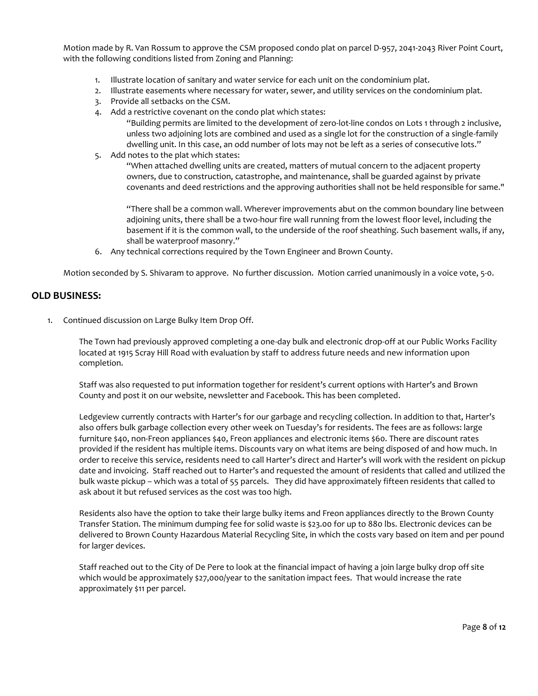Motion made by R. Van Rossum to approve the CSM proposed condo plat on parcel D-957, 2041-2043 River Point Court, with the following conditions listed from Zoning and Planning:

- 1. Illustrate location of sanitary and water service for each unit on the condominium plat.
- 2. Illustrate easements where necessary for water, sewer, and utility services on the condominium plat.
- 3. Provide all setbacks on the CSM.
- 4. Add a restrictive covenant on the condo plat which states:
	- "Building permits are limited to the development of zero-lot-line condos on Lots 1 through 2 inclusive, unless two adjoining lots are combined and used as a single lot for the construction of a single-family dwelling unit. In this case, an odd number of lots may not be left as a series of consecutive lots."
- 5. Add notes to the plat which states:

"When attached dwelling units are created, matters of mutual concern to the adjacent property owners, due to construction, catastrophe, and maintenance, shall be guarded against by private covenants and deed restrictions and the approving authorities shall not be held responsible for same."

"There shall be a common wall. Wherever improvements abut on the common boundary line between adjoining units, there shall be a two-hour fire wall running from the lowest floor level, including the basement if it is the common wall, to the underside of the roof sheathing. Such basement walls, if any, shall be waterproof masonry."

6. Any technical corrections required by the Town Engineer and Brown County.

Motion seconded by S. Shivaram to approve. No further discussion. Motion carried unanimously in a voice vote, 5-0.

## **OLD BUSINESS:**

1. Continued discussion on Large Bulky Item Drop Off.

The Town had previously approved completing a one-day bulk and electronic drop-off at our Public Works Facility located at 1915 Scray Hill Road with evaluation by staff to address future needs and new information upon completion.

Staff was also requested to put information together for resident's current options with Harter's and Brown County and post it on our website, newsletter and Facebook. This has been completed.

Ledgeview currently contracts with Harter's for our garbage and recycling collection. In addition to that, Harter's also offers bulk garbage collection every other week on Tuesday's for residents. The fees are as follows: large furniture \$40, non-Freon appliances \$40, Freon appliances and electronic items \$60. There are discount rates provided if the resident has multiple items. Discounts vary on what items are being disposed of and how much. In order to receive this service, residents need to call Harter's direct and Harter's will work with the resident on pickup date and invoicing. Staff reached out to Harter's and requested the amount of residents that called and utilized the bulk waste pickup – which was a total of 55 parcels. They did have approximately fifteen residents that called to ask about it but refused services as the cost was too high.

Residents also have the option to take their large bulky items and Freon appliances directly to the Brown County Transfer Station. The minimum dumping fee for solid waste is \$23.00 for up to 880 lbs. Electronic devices can be delivered to Brown County Hazardous Material Recycling Site, in which the costs vary based on item and per pound for larger devices.

Staff reached out to the City of De Pere to look at the financial impact of having a join large bulky drop off site which would be approximately \$27,000/year to the sanitation impact fees. That would increase the rate approximately \$11 per parcel.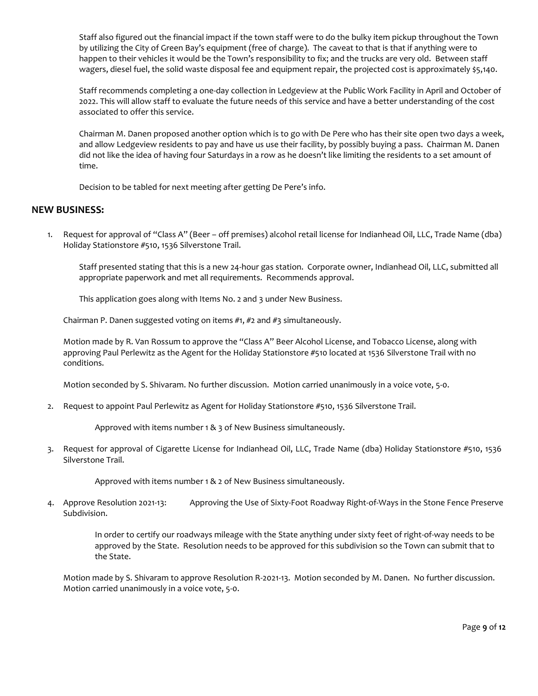Staff also figured out the financial impact if the town staff were to do the bulky item pickup throughout the Town by utilizing the City of Green Bay's equipment (free of charge). The caveat to that is that if anything were to happen to their vehicles it would be the Town's responsibility to fix; and the trucks are very old. Between staff wagers, diesel fuel, the solid waste disposal fee and equipment repair, the projected cost is approximately \$5,140.

Staff recommends completing a one-day collection in Ledgeview at the Public Work Facility in April and October of 2022. This will allow staff to evaluate the future needs of this service and have a better understanding of the cost associated to offer this service.

Chairman M. Danen proposed another option which is to go with De Pere who has their site open two days a week, and allow Ledgeview residents to pay and have us use their facility, by possibly buying a pass. Chairman M. Danen did not like the idea of having four Saturdays in a row as he doesn't like limiting the residents to a set amount of time.

Decision to be tabled for next meeting after getting De Pere's info.

## **NEW BUSINESS:**

1. Request for approval of "Class A" (Beer – off premises) alcohol retail license for Indianhead Oil, LLC, Trade Name (dba) Holiday Stationstore #510, 1536 Silverstone Trail.

Staff presented stating that this is a new 24-hour gas station. Corporate owner, Indianhead Oil, LLC, submitted all appropriate paperwork and met all requirements. Recommends approval.

This application goes along with Items No. 2 and 3 under New Business.

Chairman P. Danen suggested voting on items #1, #2 and #3 simultaneously.

Motion made by R. Van Rossum to approve the "Class A" Beer Alcohol License, and Tobacco License, along with approving Paul Perlewitz as the Agent for the Holiday Stationstore #510 located at 1536 Silverstone Trail with no conditions.

Motion seconded by S. Shivaram. No further discussion. Motion carried unanimously in a voice vote, 5-0.

2. Request to appoint Paul Perlewitz as Agent for Holiday Stationstore #510, 1536 Silverstone Trail.

Approved with items number 1 & 3 of New Business simultaneously.

3. Request for approval of Cigarette License for Indianhead Oil, LLC, Trade Name (dba) Holiday Stationstore #510, 1536 Silverstone Trail.

Approved with items number 1 & 2 of New Business simultaneously.

4. Approve Resolution 2021-13: Approving the Use of Sixty-Foot Roadway Right-of-Ways in the Stone Fence Preserve Subdivision.

> In order to certify our roadways mileage with the State anything under sixty feet of right-of-way needs to be approved by the State. Resolution needs to be approved for this subdivision so the Town can submit that to the State.

Motion made by S. Shivaram to approve Resolution R-2021-13. Motion seconded by M. Danen. No further discussion. Motion carried unanimously in a voice vote, 5-0.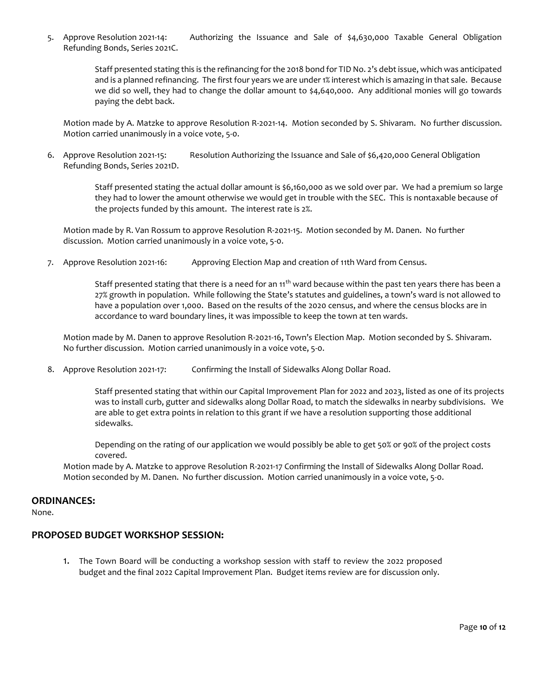5. Approve Resolution 2021-14: Authorizing the Issuance and Sale of \$4,630,000 Taxable General Obligation Refunding Bonds, Series 2021C.

> Staff presented stating this is the refinancing for the 2018 bond for TID No. 2's debt issue, which was anticipated and is a planned refinancing. The first four years we are under 1% interest which is amazing in that sale. Because we did so well, they had to change the dollar amount to \$4,640,000. Any additional monies will go towards paying the debt back.

Motion made by A. Matzke to approve Resolution R-2021-14. Motion seconded by S. Shivaram. No further discussion. Motion carried unanimously in a voice vote, 5-0.

6. Approve Resolution 2021-15: Resolution Authorizing the Issuance and Sale of \$6,420,000 General Obligation Refunding Bonds, Series 2021D.

> Staff presented stating the actual dollar amount is \$6,160,000 as we sold over par. We had a premium so large they had to lower the amount otherwise we would get in trouble with the SEC. This is nontaxable because of the projects funded by this amount. The interest rate is 2%.

Motion made by R. Van Rossum to approve Resolution R-2021-15. Motion seconded by M. Danen. No further discussion. Motion carried unanimously in a voice vote, 5-0.

7. Approve Resolution 2021-16: Approving Election Map and creation of 11th Ward from Census.

Staff presented stating that there is a need for an 11<sup>th</sup> ward because within the past ten years there has been a 27% growth in population. While following the State's statutes and guidelines, a town's ward is not allowed to have a population over 1,000. Based on the results of the 2020 census, and where the census blocks are in accordance to ward boundary lines, it was impossible to keep the town at ten wards.

Motion made by M. Danen to approve Resolution R-2021-16, Town's Election Map. Motion seconded by S. Shivaram. No further discussion. Motion carried unanimously in a voice vote, 5-0.

8. Approve Resolution 2021-17: Confirming the Install of Sidewalks Along Dollar Road.

Staff presented stating that within our Capital Improvement Plan for 2022 and 2023, listed as one of its projects was to install curb, gutter and sidewalks along Dollar Road, to match the sidewalks in nearby subdivisions. We are able to get extra points in relation to this grant if we have a resolution supporting those additional sidewalks.

Depending on the rating of our application we would possibly be able to get 50% or 90% of the project costs covered.

Motion made by A. Matzke to approve Resolution R-2021-17 Confirming the Install of Sidewalks Along Dollar Road. Motion seconded by M. Danen. No further discussion. Motion carried unanimously in a voice vote, 5-0.

### **ORDINANCES:**

None.

## **PROPOSED BUDGET WORKSHOP SESSION:**

1. The Town Board will be conducting a workshop session with staff to review the 2022 proposed budget and the final 2022 Capital Improvement Plan. Budget items review are for discussion only.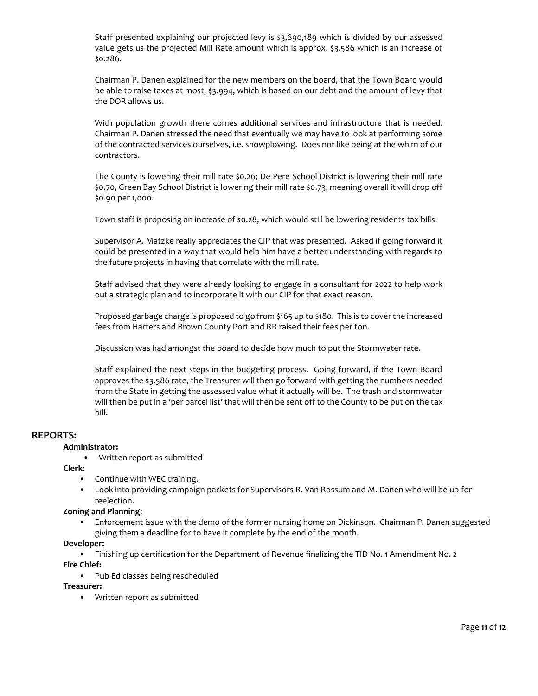Staff presented explaining our projected levy is \$3,690,189 which is divided by our assessed value gets us the projected Mill Rate amount which is approx. \$3.586 which is an increase of \$0.286.

Chairman P. Danen explained for the new members on the board, that the Town Board would be able to raise taxes at most, \$3.994, which is based on our debt and the amount of levy that the DOR allows us.

With population growth there comes additional services and infrastructure that is needed. Chairman P. Danen stressed the need that eventually we may have to look at performing some of the contracted services ourselves, i.e. snowplowing. Does not like being at the whim of our contractors.

The County is lowering their mill rate \$0.26; De Pere School District is lowering their mill rate \$0.70, Green Bay School District is lowering their mill rate \$0.73, meaning overall it will drop off \$0.90 per 1,000.

Town staff is proposing an increase of \$0.28, which would still be lowering residents tax bills.

Supervisor A. Matzke really appreciates the CIP that was presented. Asked if going forward it could be presented in a way that would help him have a better understanding with regards to the future projects in having that correlate with the mill rate.

Staff advised that they were already looking to engage in a consultant for 2022 to help work out a strategic plan and to incorporate it with our CIP for that exact reason.

Proposed garbage charge is proposed to go from \$165 up to \$180. This is to cover the increased fees from Harters and Brown County Port and RR raised their fees per ton.

Discussion was had amongst the board to decide how much to put the Stormwater rate.

Staff explained the next steps in the budgeting process. Going forward, if the Town Board approves the \$3.586 rate, the Treasurer will then go forward with getting the numbers needed from the State in getting the assessed value what it actually will be. The trash and stormwater will then be put in a 'per parcel list' that will then be sent off to the County to be put on the tax bill.

### **REPORTS:**

#### **Administrator:**

• Written report as submitted

**Clerk:**

- Continue with WEC training.
- Look into providing campaign packets for Supervisors R. Van Rossum and M. Danen who will be up for reelection.

#### **Zoning and Planning**:

• Enforcement issue with the demo of the former nursing home on Dickinson. Chairman P. Danen suggested giving them a deadline for to have it complete by the end of the month.

#### **Developer:**

• Finishing up certification for the Department of Revenue finalizing the TID No. 1 Amendment No. 2

**Fire Chief:**

• Pub Ed classes being rescheduled

### **Treasurer:**

• Written report as submitted